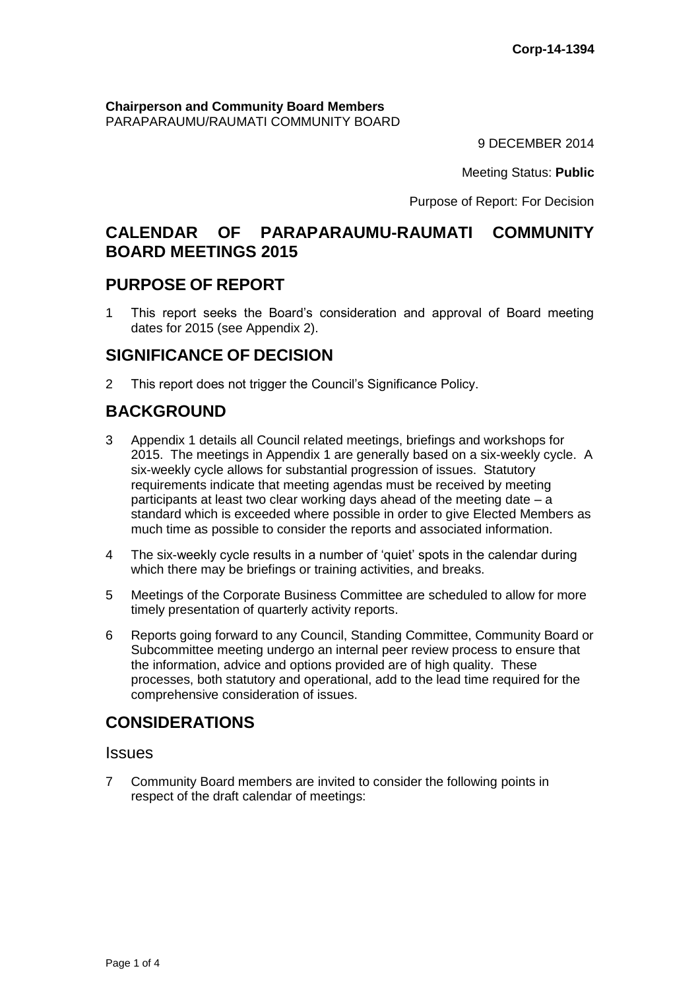#### **Chairperson and Community Board Members** PARAPARAUMU/RAUMATI COMMUNITY BOARD

9 DECEMBER 2014

Meeting Status: **Public**

Purpose of Report: For Decision

# **CALENDAR OF PARAPARAUMU-RAUMATI COMMUNITY BOARD MEETINGS 2015**

## **PURPOSE OF REPORT**

1 This report seeks the Board's consideration and approval of Board meeting dates for 2015 (see Appendix 2).

# **SIGNIFICANCE OF DECISION**

2 This report does not trigger the Council's Significance Policy.

# **BACKGROUND**

- 3 Appendix 1 details all Council related meetings, briefings and workshops for 2015. The meetings in Appendix 1 are generally based on a six-weekly cycle. A six-weekly cycle allows for substantial progression of issues. Statutory requirements indicate that meeting agendas must be received by meeting participants at least two clear working days ahead of the meeting date – a standard which is exceeded where possible in order to give Elected Members as much time as possible to consider the reports and associated information.
- 4 The six-weekly cycle results in a number of 'quiet' spots in the calendar during which there may be briefings or training activities, and breaks.
- 5 Meetings of the Corporate Business Committee are scheduled to allow for more timely presentation of quarterly activity reports.
- 6 Reports going forward to any Council, Standing Committee, Community Board or Subcommittee meeting undergo an internal peer review process to ensure that the information, advice and options provided are of high quality. These processes, both statutory and operational, add to the lead time required for the comprehensive consideration of issues.

# **CONSIDERATIONS**

### **Issues**

7 Community Board members are invited to consider the following points in respect of the draft calendar of meetings: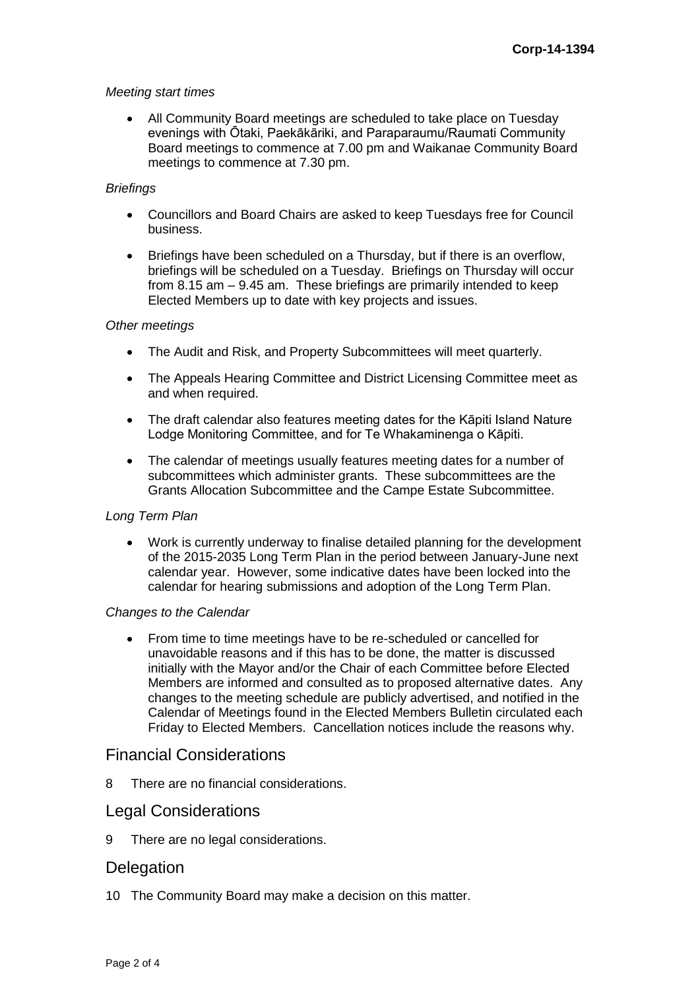#### *Meeting start times*

 All Community Board meetings are scheduled to take place on Tuesday evenings with Ōtaki, Paekākāriki, and Paraparaumu/Raumati Community Board meetings to commence at 7.00 pm and Waikanae Community Board meetings to commence at 7.30 pm.

#### *Briefings*

- Councillors and Board Chairs are asked to keep Tuesdays free for Council business.
- Briefings have been scheduled on a Thursday, but if there is an overflow, briefings will be scheduled on a Tuesday. Briefings on Thursday will occur from 8.15 am – 9.45 am. These briefings are primarily intended to keep Elected Members up to date with key projects and issues.

#### *Other meetings*

- The Audit and Risk, and Property Subcommittees will meet quarterly.
- The Appeals Hearing Committee and District Licensing Committee meet as and when required.
- The draft calendar also features meeting dates for the Kāpiti Island Nature Lodge Monitoring Committee, and for Te Whakaminenga o Kāpiti.
- The calendar of meetings usually features meeting dates for a number of subcommittees which administer grants. These subcommittees are the Grants Allocation Subcommittee and the Campe Estate Subcommittee.

#### *Long Term Plan*

 Work is currently underway to finalise detailed planning for the development of the 2015-2035 Long Term Plan in the period between January-June next calendar year. However, some indicative dates have been locked into the calendar for hearing submissions and adoption of the Long Term Plan.

#### *Changes to the Calendar*

 From time to time meetings have to be re-scheduled or cancelled for unavoidable reasons and if this has to be done, the matter is discussed initially with the Mayor and/or the Chair of each Committee before Elected Members are informed and consulted as to proposed alternative dates. Any changes to the meeting schedule are publicly advertised, and notified in the Calendar of Meetings found in the Elected Members Bulletin circulated each Friday to Elected Members. Cancellation notices include the reasons why.

### Financial Considerations

8 There are no financial considerations.

### Legal Considerations

9 There are no legal considerations.

#### **Delegation**

10 The Community Board may make a decision on this matter.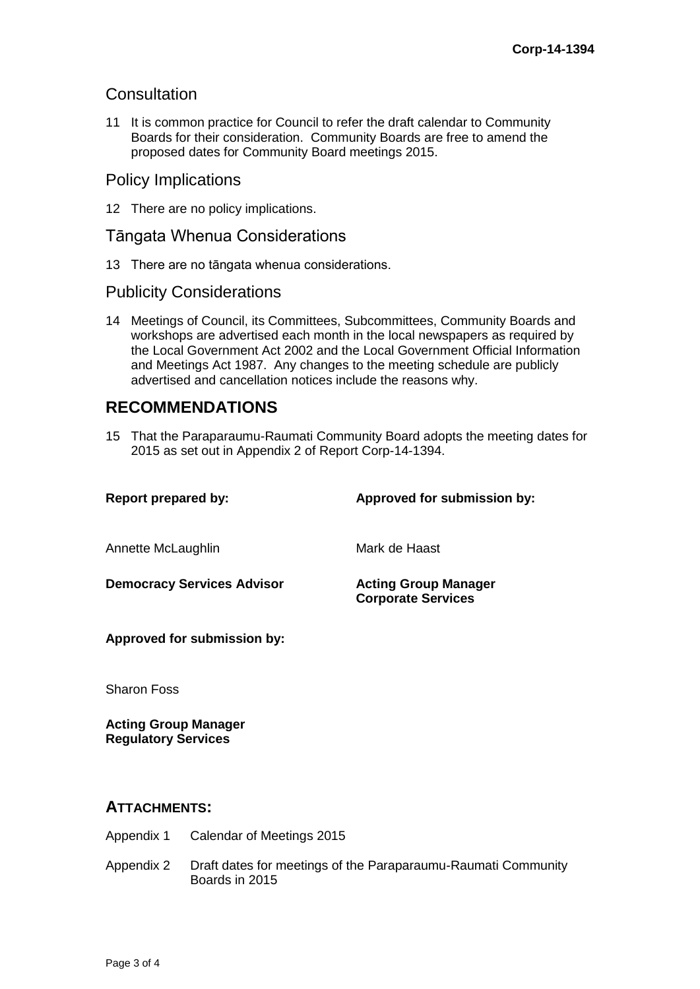## **Consultation**

11 It is common practice for Council to refer the draft calendar to Community Boards for their consideration. Community Boards are free to amend the proposed dates for Community Board meetings 2015.

## Policy Implications

12 There are no policy implications.

## Tāngata Whenua Considerations

13 There are no tāngata whenua considerations.

## Publicity Considerations

14 Meetings of Council, its Committees, Subcommittees, Community Boards and workshops are advertised each month in the local newspapers as required by the Local Government Act 2002 and the Local Government Official Information and Meetings Act 1987. Any changes to the meeting schedule are publicly advertised and cancellation notices include the reasons why.

# **RECOMMENDATIONS**

15 That the Paraparaumu-Raumati Community Board adopts the meeting dates for 2015 as set out in Appendix 2 of Report Corp-14-1394.

| <b>Report prepared by:</b>        | Approved for submission by:                              |
|-----------------------------------|----------------------------------------------------------|
| Annette McLaughlin                | Mark de Haast                                            |
| <b>Democracy Services Advisor</b> | <b>Acting Group Manager</b><br><b>Corporate Services</b> |
| Approved for submission by:       |                                                          |
| <b>Sharon Foss</b>                |                                                          |

**Acting Group Manager Regulatory Services**

### **ATTACHMENTS:**

- Appendix 1 Calendar of Meetings 2015
- Appendix 2 Draft dates for meetings of the Paraparaumu-Raumati Community Boards in 2015